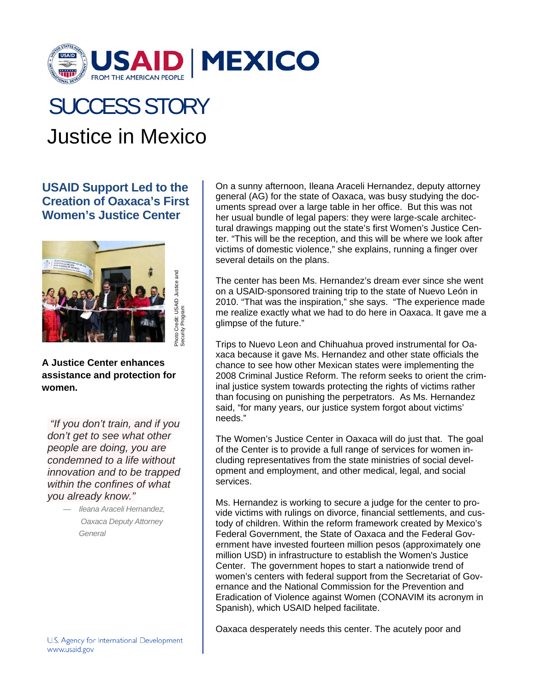

## Justice in Mexico SUCCESS STORY

## **USAID Support Led to the Creation of Oaxaca's First Women's Justice Center**



**A Justice Center enhances assistance and protection for women.** 

 *"If you don't train, and if you don't get to see what other people are doing, you are condemned to a life without innovation and to be trapped within the confines of what you already know."*

> — *Ileana Araceli Hernandez, Oaxaca Deputy Attorney General*

On a sunny afternoon, Ileana Araceli Hernandez, deputy attorney general (AG) for the state of Oaxaca, was busy studying the documents spread over a large table in her office. But this was not her usual bundle of legal papers: they were large-scale architectural drawings mapping out the state's first Women's Justice Center. "This will be the reception, and this will be where we look after victims of domestic violence," she explains, running a finger over several details on the plans.

The center has been Ms. Hernandez's dream ever since she went on a USAID-sponsored training trip to the state of Nuevo León in 2010. "That was the inspiration," she says. "The experience made me realize exactly what we had to do here in Oaxaca. It gave me a glimpse of the future."

Trips to Nuevo Leon and Chihuahua proved instrumental for Oaxaca because it gave Ms. Hernandez and other state officials the chance to see how other Mexican states were implementing the 2008 Criminal Justice Reform. The reform seeks to orient the criminal justice system towards protecting the rights of victims rather than focusing on punishing the perpetrators. As Ms. Hernandez said, "for many years, our justice system forgot about victims' needs."

The Women's Justice Center in Oaxaca will do just that. The goal of the Center is to provide a full range of services for women including representatives from the state ministries of social development and employment, and other medical, legal, and social services.

Ms. Hernandez is working to secure a judge for the center to provide victims with rulings on divorce, financial settlements, and custody of children. Within the reform framework created by Mexico's Federal Government, the State of Oaxaca and the Federal Government have invested fourteen million pesos (approximately one million USD) in infrastructure to establish the Women's Justice Center. The government hopes to start a nationwide trend of women's centers with federal support from the Secretariat of Governance and the National Commission for the Prevention and Eradication of Violence against Women (CONAVIM its acronym in Spanish), which USAID helped facilitate.

Oaxaca desperately needs this center. The acutely poor and